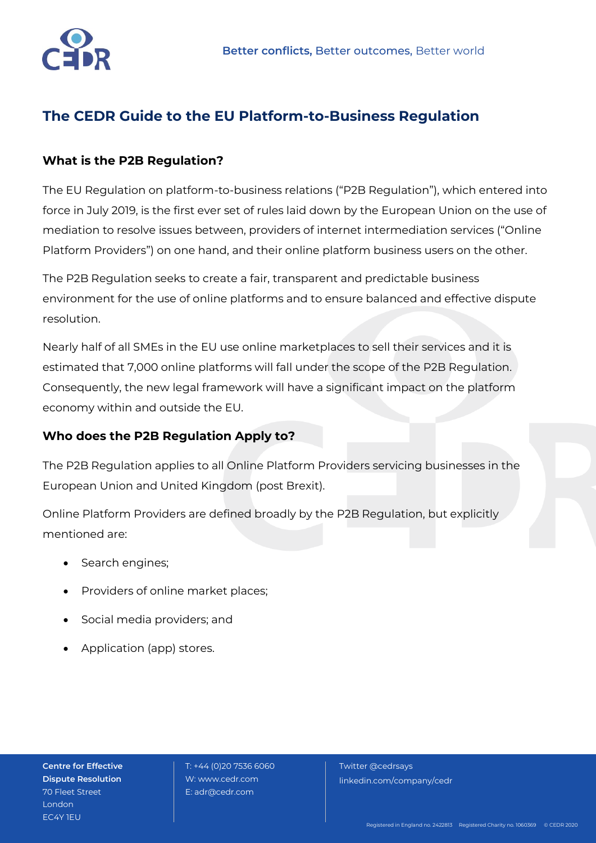

# **The CEDR Guide to the EU Platform-to-Business Regulation**

## **What is the P2B Regulation?**

The EU Regulation on platform-to-business relations ("P2B Regulation"), which entered into force in July 2019, is the first ever set of rules laid down by the European Union on the use of mediation to resolve issues between, providers of internet intermediation services ("Online Platform Providers") on one hand, and their online platform business users on the other.

The P2B Regulation seeks to create a fair, transparent and predictable business environment for the use of online platforms and to ensure balanced and effective dispute resolution.

Nearly half of all SMEs in the EU use online marketplaces to sell their services and it is estimated that 7,000 online platforms will fall under the scope of the P2B Regulation. Consequently, the new legal framework will have a significant impact on the platform economy within and outside the EU.

### **Who does the P2B Regulation Apply to?**

The P2B Regulation applies to all Online Platform Providers servicing businesses in the European Union and United Kingdom (post Brexit).

Online Platform Providers are defined broadly by the P2B Regulation, but explicitly mentioned are:

- Search engines;
- Providers of online market places;
- Social media providers; and
- Application (app) stores.

**Centre for Effective Dispute Resolution** 70 Fleet Street London EC4Y 1EU

 T: +44 (0)20 7536 6060 W: www.cedr.com E: adr@cedr.com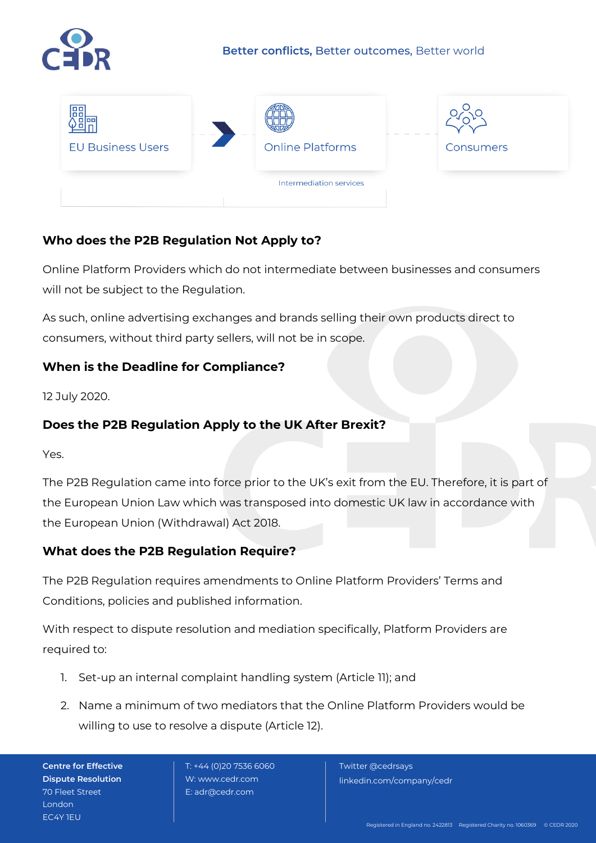



# **Who does the P2B Regulation Not Apply to?**

Online Platform Providers which do not intermediate between businesses and consumers will not be subject to the Regulation.

As such, online advertising exchanges and brands selling their own products direct to consumers, without third party sellers, will not be in scope.

# **When is the Deadline for Compliance?**

12 July 2020.

# **Does the P2B Regulation Apply to the UK After Brexit?**

Yes.

The P2B Regulation came into force prior to the UK's exit from the EU. Therefore, it is part of the European Union Law which was transposed into domestic UK law in accordance with the European Union (Withdrawal) Act 2018.

### **What does the P2B Regulation Require?**

The P2B Regulation requires amendments to Online Platform Providers' Terms and Conditions, policies and published information.

With respect to dispute resolution and mediation specifically, Platform Providers are required to:

- 1. Set-up an internal complaint handling system (Article 11); and
- 2. Name a minimum of two mediators that the Online Platform Providers would be willing to use to resolve a dispute (Article 12).

**Centre for Effective Dispute Resolution** 70 Fleet Street London EC4Y 1EU

 T: +44 (0)20 7536 6060 W: www.cedr.com E: adr@cedr.com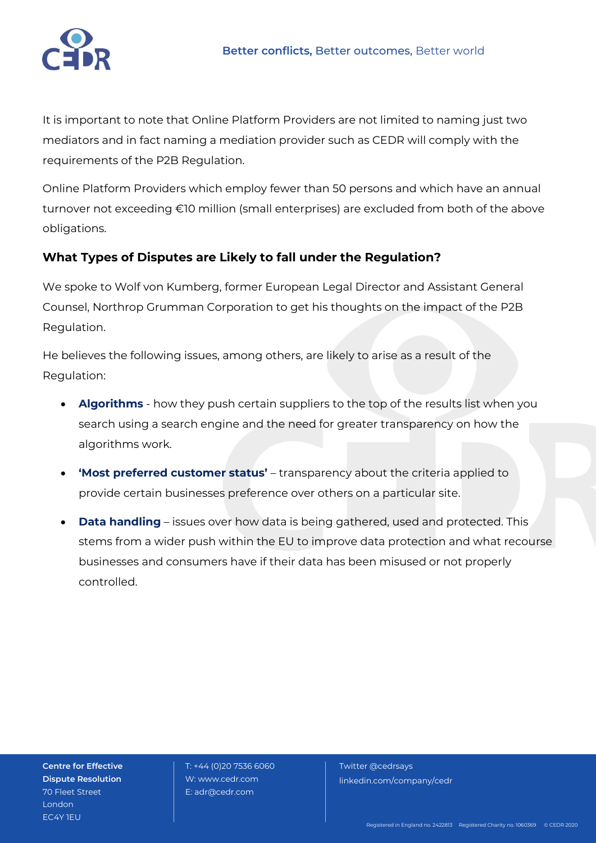

It is important to note that Online Platform Providers are not limited to naming just two mediators and in fact naming a mediation provider such as CEDR will comply with the requirements of the P2B Regulation.

Online Platform Providers which employ fewer than 50 persons and which have an annual turnover not exceeding €10 million (small enterprises) are excluded from both of the above obligations.

# **What Types of Disputes are Likely to fall under the Regulation?**

We spoke to Wolf von Kumberg, former European Legal Director and Assistant General Counsel, Northrop Grumman Corporation to get his thoughts on the impact of the P2B Regulation.

He believes the following issues, among others, are likely to arise as a result of the Regulation:

- **Algorithms** how they push certain suppliers to the top of the results list when you search using a search engine and the need for greater transparency on how the algorithms work.
- **'Most preferred customer status'** transparency about the criteria applied to provide certain businesses preference over others on a particular site.
- **Data handling** issues over how data is being gathered, used and protected. This stems from a wider push within the EU to improve data protection and what recourse businesses and consumers have if their data has been misused or not properly controlled.

**Centre for Effective Dispute Resolution** 70 Fleet Street **London** EC4Y 1EU

 T: +44 (0)20 7536 6060 W: www.cedr.com E: adr@cedr.com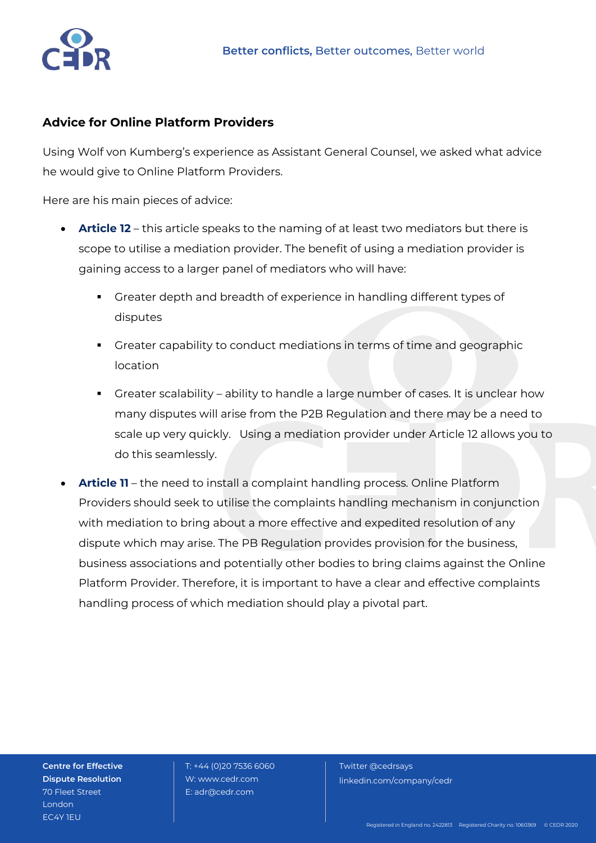

### **Advice for Online Platform Providers**

Using Wolf von Kumberg's experience as Assistant General Counsel, we asked what advice he would give to Online Platform Providers.

Here are his main pieces of advice:

- **Article 12** this article speaks to the naming of at least two mediators but there is scope to utilise a mediation provider. The benefit of using a mediation provider is gaining access to a larger panel of mediators who will have:
	- Greater depth and breadth of experience in handling different types of disputes
	- Greater capability to conduct mediations in terms of time and geographic location
	- Greater scalability ability to handle a large number of cases. It is unclear how many disputes will arise from the P2B Regulation and there may be a need to scale up very quickly. Using a mediation provider under Article 12 allows you to do this seamlessly.
- **Article 11** the need to install a complaint handling process. Online Platform Providers should seek to utilise the complaints handling mechanism in conjunction with mediation to bring about a more effective and expedited resolution of any dispute which may arise. The PB Regulation provides provision for the business, business associations and potentially other bodies to bring claims against the Online Platform Provider. Therefore, it is important to have a clear and effective complaints handling process of which mediation should play a pivotal part.

**Centre for Effective Dispute Resolution** 70 Fleet Street **London** EC4Y 1EU

 T: +44 (0)20 7536 6060 W: www.cedr.com E: adr@cedr.com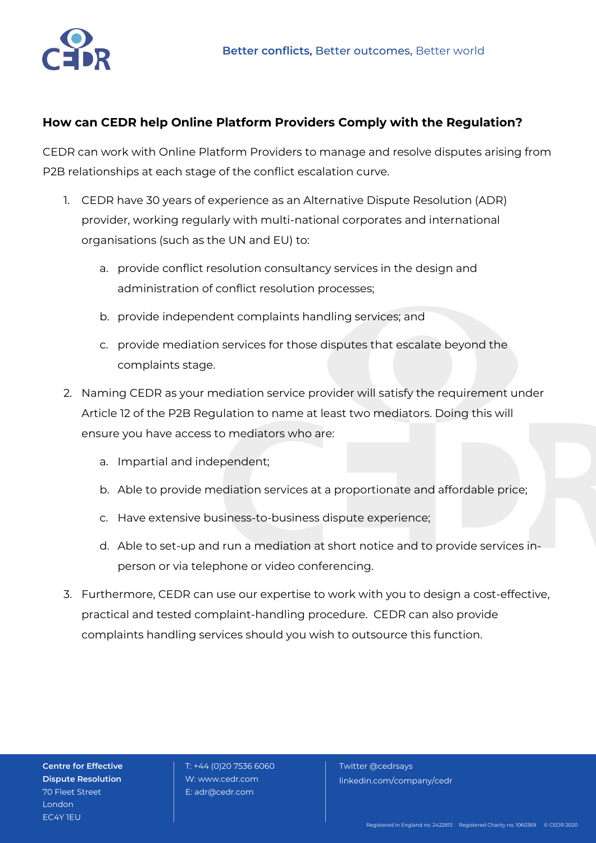

## **How can CEDR help Online Platform Providers Comply with the Regulation?**

CEDR can work with Online Platform Providers to manage and resolve disputes arising from P2B relationships at each stage of the conflict escalation curve.

- 1. CEDR have 30 years of experience as an Alternative Dispute Resolution (ADR) provider, working regularly with multi-national corporates and international organisations (such as the UN and EU) to:
	- a. provide conflict resolution consultancy services in the design and administration of conflict resolution processes;
	- b. provide independent complaints handling services; and
	- c. provide mediation services for those disputes that escalate beyond the complaints stage.
- 2. Naming CEDR as your mediation service provider will satisfy the requirement under Article 12 of the P2B Regulation to name at least two mediators. Doing this will ensure you have access to mediators who are:
	- a. Impartial and independent;
	- b. Able to provide mediation services at a proportionate and affordable price;
	- c. Have extensive business-to-business dispute experience;
	- d. Able to set-up and run a mediation at short notice and to provide services inperson or via telephone or video conferencing.
- 3. Furthermore, CEDR can use our expertise to work with you to design a cost-effective, practical and tested complaint-handling procedure. CEDR can also provide complaints handling services should you wish to outsource this function.

**Centre for Effective Dispute Resolution** 70 Fleet Street **London** EC4Y 1EU

 T: +44 (0)20 7536 6060 W: www.cedr.com E: adr@cedr.com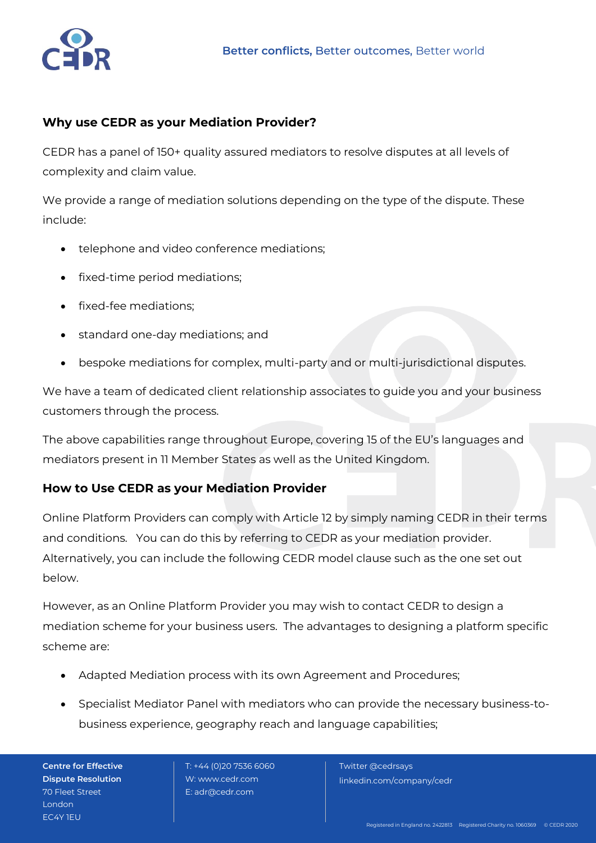

### **Why use CEDR as your Mediation Provider?**

CEDR has a panel of 150+ quality assured mediators to resolve disputes at all levels of complexity and claim value.

We provide a range of mediation solutions depending on the type of the dispute. These include:

- telephone and video conference mediations;
- fixed-time period mediations;
- fixed-fee mediations;
- standard one-day mediations; and
- bespoke mediations for complex, multi-party and or multi-jurisdictional disputes.

We have a team of dedicated client relationship associates to guide you and your business customers through the process.

The above capabilities range throughout Europe, covering 15 of the EU's languages and mediators present in 11 Member States as well as the United Kingdom.

### **How to Use CEDR as your Mediation Provider**

Online Platform Providers can comply with Article 12 by simply naming CEDR in their terms and conditions. You can do this by referring to CEDR as your mediation provider. Alternatively, you can include the following CEDR model clause such as the one set out below.

However, as an Online Platform Provider you may wish to contact CEDR to design a mediation scheme for your business users. The advantages to designing a platform specific scheme are:

- Adapted Mediation process with its own Agreement and Procedures;
- Specialist Mediator Panel with mediators who can provide the necessary business-tobusiness experience, geography reach and language capabilities;

**Centre for Effective Dispute Resolution** 70 Fleet Street **London** EC4Y 1EU

 T: +44 (0)20 7536 6060 W: www.cedr.com E: adr@cedr.com